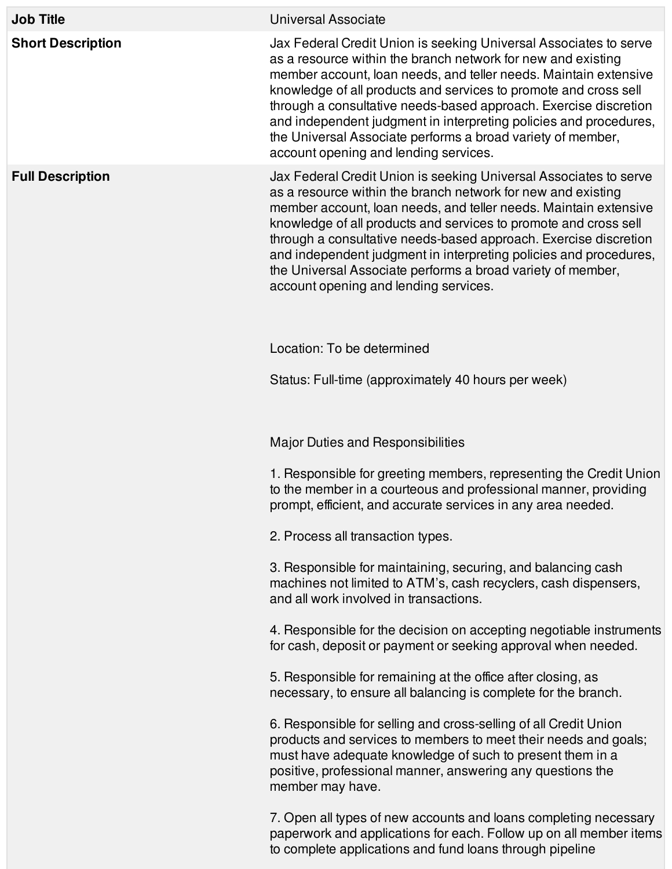| <b>Job Title</b>         | <b>Universal Associate</b>                                                                                                                                                                                                                                                                                                                                                                                                                                                                                                 |
|--------------------------|----------------------------------------------------------------------------------------------------------------------------------------------------------------------------------------------------------------------------------------------------------------------------------------------------------------------------------------------------------------------------------------------------------------------------------------------------------------------------------------------------------------------------|
| <b>Short Description</b> | Jax Federal Credit Union is seeking Universal Associates to serve<br>as a resource within the branch network for new and existing<br>member account, loan needs, and teller needs. Maintain extensive<br>knowledge of all products and services to promote and cross sell<br>through a consultative needs-based approach. Exercise discretion<br>and independent judgment in interpreting policies and procedures,<br>the Universal Associate performs a broad variety of member,<br>account opening and lending services. |
| <b>Full Description</b>  | Jax Federal Credit Union is seeking Universal Associates to serve<br>as a resource within the branch network for new and existing<br>member account, loan needs, and teller needs. Maintain extensive<br>knowledge of all products and services to promote and cross sell<br>through a consultative needs-based approach. Exercise discretion<br>and independent judgment in interpreting policies and procedures,<br>the Universal Associate performs a broad variety of member,<br>account opening and lending services. |
|                          | Location: To be determined                                                                                                                                                                                                                                                                                                                                                                                                                                                                                                 |
|                          | Status: Full-time (approximately 40 hours per week)                                                                                                                                                                                                                                                                                                                                                                                                                                                                        |
|                          | <b>Major Duties and Responsibilities</b>                                                                                                                                                                                                                                                                                                                                                                                                                                                                                   |
|                          | 1. Responsible for greeting members, representing the Credit Union<br>to the member in a courteous and professional manner, providing<br>prompt, efficient, and accurate services in any area needed.                                                                                                                                                                                                                                                                                                                      |
|                          | 2. Process all transaction types.                                                                                                                                                                                                                                                                                                                                                                                                                                                                                          |
|                          | 3. Responsible for maintaining, securing, and balancing cash<br>machines not limited to ATM's, cash recyclers, cash dispensers,<br>and all work involved in transactions.                                                                                                                                                                                                                                                                                                                                                  |
|                          | 4. Responsible for the decision on accepting negotiable instruments<br>for cash, deposit or payment or seeking approval when needed.                                                                                                                                                                                                                                                                                                                                                                                       |
|                          | 5. Responsible for remaining at the office after closing, as<br>necessary, to ensure all balancing is complete for the branch.                                                                                                                                                                                                                                                                                                                                                                                             |
|                          | 6. Responsible for selling and cross-selling of all Credit Union<br>products and services to members to meet their needs and goals;<br>must have adequate knowledge of such to present them in a<br>positive, professional manner, answering any questions the<br>member may have.                                                                                                                                                                                                                                         |
|                          | 7. Open all types of new accounts and loans completing necessary<br>paperwork and applications for each. Follow up on all member items<br>to complete applications and fund loans through pipeline                                                                                                                                                                                                                                                                                                                         |

П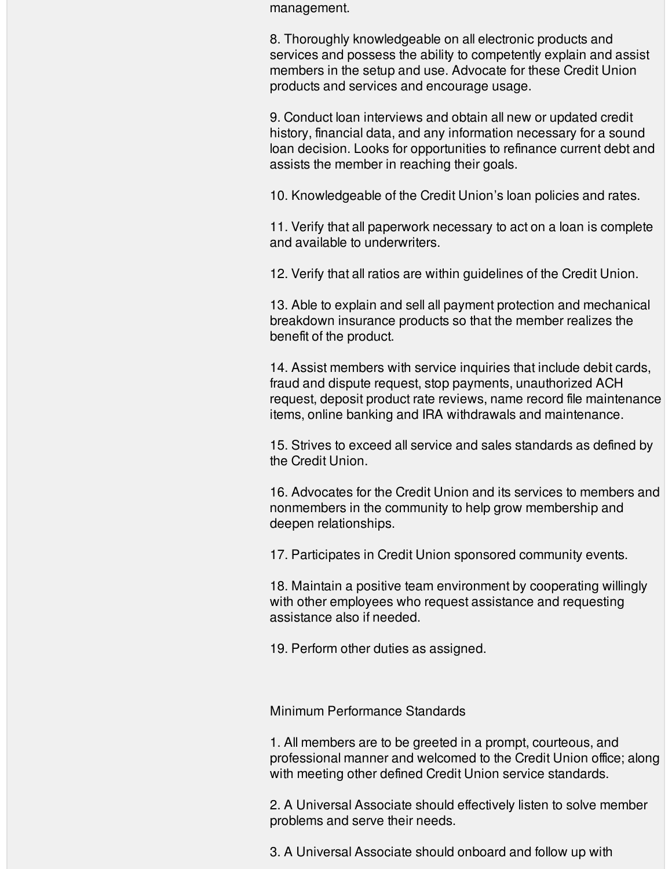management.

8. Thoroughly knowledgeable on all electronic products and services and possess the ability to competently explain and assist members in the setup and use. Advocate for these Credit Union products and services and encourage usage.

9. Conduct loan interviews and obtain all new or updated credit history, financial data, and any information necessary for a sound loan decision. Looks for opportunities to refinance current debt and assists the member in reaching their goals.

10. Knowledgeable of the Credit Union's loan policies and rates.

11. Verify that all paperwork necessary to act on a loan is complete and available to underwriters.

12. Verify that all ratios are within guidelines of the Credit Union.

13. Able to explain and sell all payment protection and mechanical breakdown insurance products so that the member realizes the benefit of the product.

14. Assist members with service inquiries that include debit cards, fraud and dispute request, stop payments, unauthorized ACH request, deposit product rate reviews, name record file maintenance items, online banking and IRA withdrawals and maintenance.

15. Strives to exceed all service and sales standards as defined by the Credit Union.

16. Advocates for the Credit Union and its services to members and nonmembers in the community to help grow membership and deepen relationships.

17. Participates in Credit Union sponsored community events.

18. Maintain a positive team environment by cooperating willingly with other employees who request assistance and requesting assistance also if needed.

19. Perform other duties as assigned.

Minimum Performance Standards

1. All members are to be greeted in a prompt, courteous, and professional manner and welcomed to the Credit Union office; along with meeting other defined Credit Union service standards.

2. A Universal Associate should effectively listen to solve member problems and serve their needs.

3. A Universal Associate should onboard and follow up with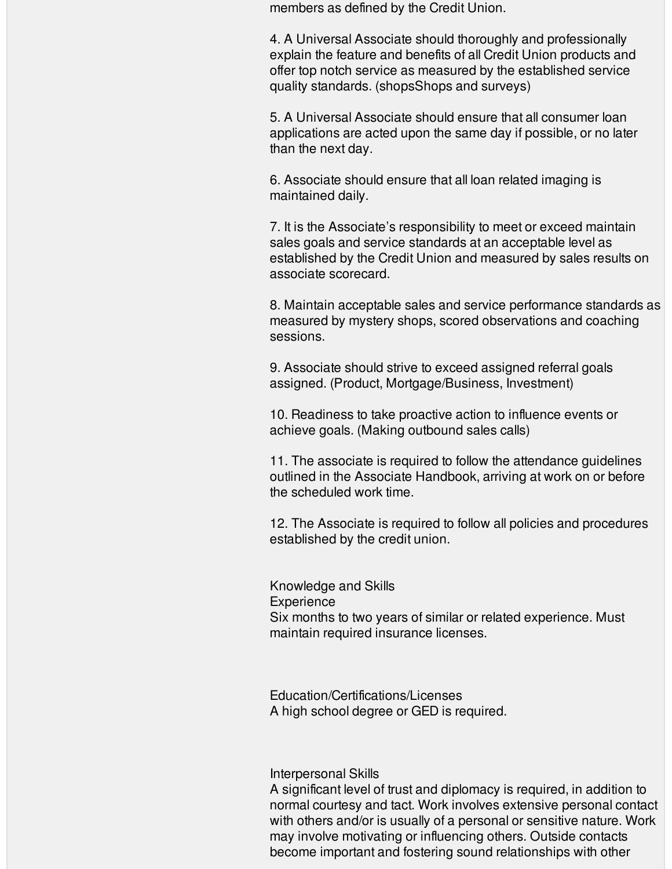members as defined by the Credit Union.

4. A Universal Associate should thoroughly and professionally explain the feature and benefits of all Credit Union products and offer top notch service as measured by the established service quality standards. (shopsShops and surveys)

5. A Universal Associate should ensure that all consumer loan applications are acted upon the same day if possible, or no later than the next day.

6. Associate should ensure that all loan related imaging is maintained daily.

7. It is the Associate's responsibility to meet or exceed maintain sales goals and service standards at an acceptable level as established by the Credit Union and measured by sales results on associate scorecard.

8. Maintain acceptable sales and service performance standards as measured by mystery shops, scored observations and coaching sessions.

9. Associate should strive to exceed assigned referral goals assigned. (Product, Mortgage/Business, Investment)

10. Readiness to take proactive action to influence events or achieve goals. (Making outbound sales calls)

11. The associate is required to follow the attendance guidelines outlined in the Associate Handbook, arriving at work on or before the scheduled work time.

12. The Associate is required to follow all policies and procedures established by the credit union.

Knowledge and Skills **Experience** Six months to two years of similar or related experience. Must maintain required insurance licenses.

Education/Certifications/Licenses A high school degree or GED is required.

Interpersonal Skills

A significant level of trust and diplomacy is required, in addition to normal courtesy and tact. Work involves extensive personal contact with others and/or is usually of a personal or sensitive nature. Work may involve motivating or influencing others. Outside contacts become important and fostering sound relationships with other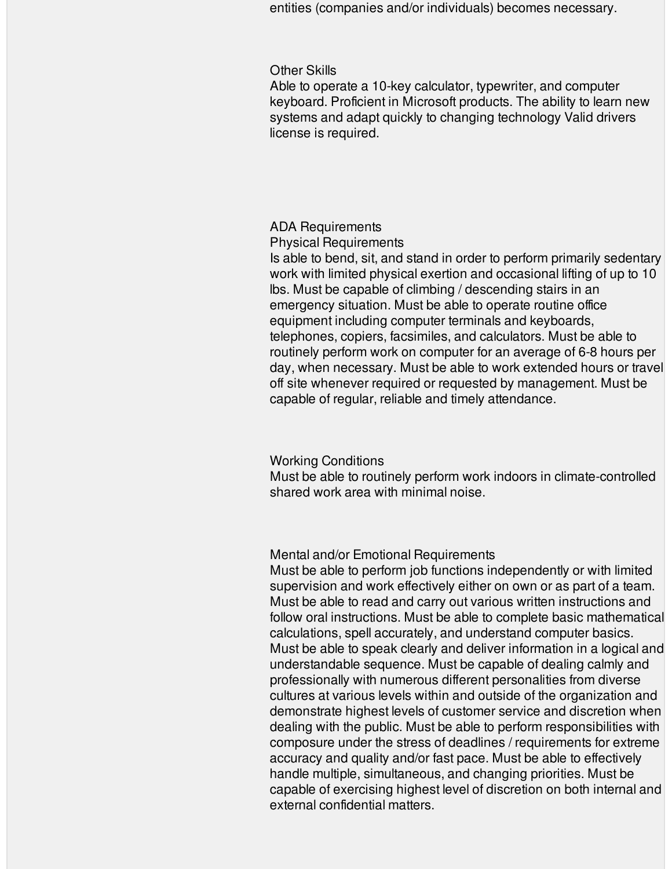entities (companies and/or individuals) becomes necessary.

## Other Skills

Able to operate a 10-key calculator, typewriter, and computer keyboard. Proficient in Microsoft products. The ability to learn new systems and adapt quickly to changing technology Valid drivers license is required.

## ADA Requirements

Physical Requirements

Is able to bend, sit, and stand in order to perform primarily sedentary work with limited physical exertion and occasional lifting of up to 10 lbs. Must be capable of climbing / descending stairs in an emergency situation. Must be able to operate routine office equipment including computer terminals and keyboards, telephones, copiers, facsimiles, and calculators. Must be able to routinely perform work on computer for an average of 6-8 hours per day, when necessary. Must be able to work extended hours or travel off site whenever required or requested by management. Must be capable of regular, reliable and timely attendance.

## Working Conditions

Must be able to routinely perform work indoors in climate-controlled shared work area with minimal noise.

## Mental and/or Emotional Requirements

Must be able to perform job functions independently or with limited supervision and work effectively either on own or as part of a team. Must be able to read and carry out various written instructions and follow oral instructions. Must be able to complete basic mathematical calculations, spell accurately, and understand computer basics. Must be able to speak clearly and deliver information in a logical and understandable sequence. Must be capable of dealing calmly and professionally with numerous different personalities from diverse cultures at various levels within and outside of the organization and demonstrate highest levels of customer service and discretion when dealing with the public. Must be able to perform responsibilities with composure under the stress of deadlines / requirements for extreme accuracy and quality and/or fast pace. Must be able to effectively handle multiple, simultaneous, and changing priorities. Must be capable of exercising highest level of discretion on both internal and external confidential matters.